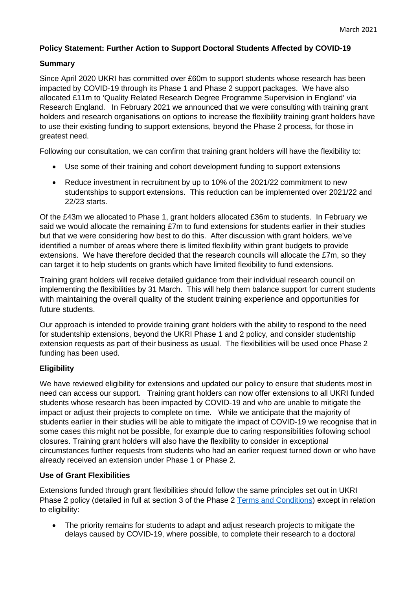## **Policy Statement: Further Action to Support Doctoral Students Affected by COVID-19**

## **Summary**

Since April 2020 UKRI has committed over £60m to support students whose research has been impacted by COVID-19 through its Phase 1 and Phase 2 support packages. We have also allocated £11m to 'Quality Related Research Degree Programme Supervision in England' via Research England. In February 2021 we announced that we were consulting with training grant holders and research organisations on options to increase the flexibility training grant holders have to use their existing funding to support extensions, beyond the Phase 2 process, for those in greatest need.

Following our consultation, we can confirm that training grant holders will have the flexibility to:

- Use some of their training and cohort development funding to support extensions
- Reduce investment in recruitment by up to 10% of the 2021/22 commitment to new studentships to support extensions. This reduction can be implemented over 2021/22 and 22/23 starts.

Of the £43m we allocated to Phase 1, grant holders allocated £36m to students. In February we said we would allocate the remaining £7m to fund extensions for students earlier in their studies but that we were considering how best to do this. After discussion with grant holders, we've identified a number of areas where there is limited flexibility within grant budgets to provide extensions. We have therefore decided that the research councils will allocate the £7m, so they can target it to help students on grants which have limited flexibility to fund extensions.

Training grant holders will receive detailed guidance from their individual research council on implementing the flexibilities by 31 March. This will help them balance support for current students with maintaining the overall quality of the student training experience and opportunities for future students.

Our approach is intended to provide training grant holders with the ability to respond to the need for studentship extensions, beyond the UKRI Phase 1 and 2 policy, and consider studentship extension requests as part of their business as usual. The flexibilities will be used once Phase 2 funding has been used.

## **Eligibility**

We have reviewed eligibility for extensions and updated our policy to ensure that students most in need can access our support. Training grant holders can now offer extensions to all UKRI funded students whose research has been impacted by COVID-19 and who are unable to mitigate the impact or adjust their projects to complete on time. While we anticipate that the majority of students earlier in their studies will be able to mitigate the impact of COVID-19 we recognise that in some cases this might not be possible, for example due to caring responsibilities following school closures. Training grant holders will also have the flexibility to consider in exceptional circumstances further requests from students who had an earlier request turned down or who have already received an extension under Phase 1 or Phase 2.

## **Use of Grant Flexibilities**

Extensions funded through grant flexibilities should follow the same principles set out in UKRI Phase 2 policy (detailed in full at section 3 of the Phase 2 [Terms and Conditions\)](https://www.ukri.org/wp-content/uploads/2020/11/UKRI-11112020-COVID-19DoctoralExtensionsPolicyPhase2TermsAndConditions.pdf) except in relation to eligibility:

• The priority remains for students to adapt and adjust research projects to mitigate the delays caused by COVID-19, where possible, to complete their research to a doctoral